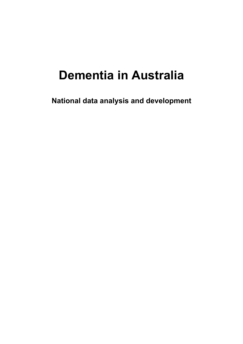# **Dementia in Australia**

**National data analysis and development**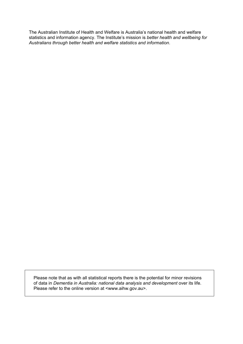The Australian Institute of Health and Welfare is Australia's national health and welfare statistics and information agency. The Institute's mission is *better health and wellbeing for Australians through better health and welfare statistics and information*.

Please note that as with all statistical reports there is the potential for minor revisions of data in *Dementia in Australia: national data analysis and development* over its life. Please refer to the online version at <www.aihw.gov.au>.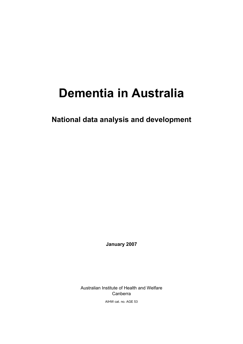# **Dementia in Australia**

**National data analysis and development** 

**January 2007** 

Australian Institute of Health and Welfare Canberra

AIHW cat. no. AGE 53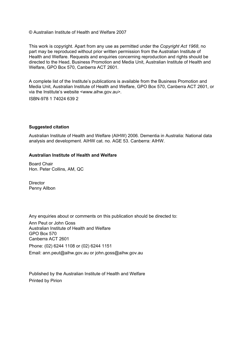© Australian Institute of Health and Welfare 2007

This work is copyright. Apart from any use as permitted under the *Copyright Act 1968*, no part may be reproduced without prior written permission from the Australian Institute of Health and Welfare. Requests and enquiries concerning reproduction and rights should be directed to the Head, Business Promotion and Media Unit, Australian Institute of Health and Welfare, GPO Box 570, Canberra ACT 2601.

A complete list of the Institute's publications is available from the Business Promotion and Media Unit, Australian Institute of Health and Welfare, GPO Box 570, Canberra ACT 2601, or via the Institute's website <www.aihw.gov.au>.

ISBN-978 1 74024 639 2

#### **Suggested citation**

Australian Institute of Health and Welfare (AIHW) 2006. Dementia in Australia: National data analysis and development. AIHW cat. no. AGE 53. Canberra: AIHW.

#### **Australian Institute of Health and Welfare**

Board Chair Hon. Peter Collins, AM, QC

**Director** Penny Allbon

Any enquiries about or comments on this publication should be directed to:

Ann Peut or John Goss Australian Institute of Health and Welfare GPO Box 570 Canberra ACT 2601 Phone: (02) 6244 1108 or (02) 6244 1151 Email: ann.peut@aihw.gov.au or john.goss@aihw.gov.au

Published by the Australian Institute of Health and Welfare Printed by Pirion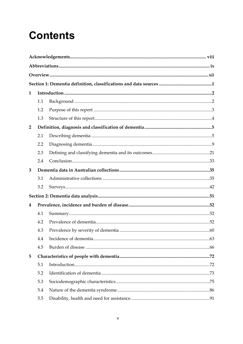# **Contents**

| 1              |     |  |  |  |
|----------------|-----|--|--|--|
|                | 1.1 |  |  |  |
|                | 1.2 |  |  |  |
|                | 1.3 |  |  |  |
| $\overline{2}$ |     |  |  |  |
|                | 2.1 |  |  |  |
|                | 2.2 |  |  |  |
|                | 2.3 |  |  |  |
|                | 2.4 |  |  |  |
| 3              |     |  |  |  |
|                | 3.1 |  |  |  |
|                | 3.2 |  |  |  |
|                |     |  |  |  |
| 4              |     |  |  |  |
|                | 4.1 |  |  |  |
|                | 4.2 |  |  |  |
|                | 4.3 |  |  |  |
|                | 4.4 |  |  |  |
|                | 4.5 |  |  |  |
| 5              |     |  |  |  |
|                | 5.1 |  |  |  |
|                | 5.2 |  |  |  |
|                | 5.3 |  |  |  |
|                | 5.4 |  |  |  |
|                | 5.5 |  |  |  |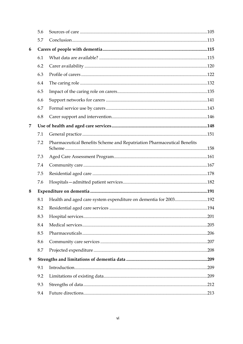|   | 5.6 |                                                                         |      |
|---|-----|-------------------------------------------------------------------------|------|
|   | 5.7 |                                                                         |      |
| 6 |     |                                                                         |      |
|   | 6.1 |                                                                         |      |
|   | 6.2 |                                                                         |      |
|   | 6.3 |                                                                         |      |
|   | 6.4 |                                                                         |      |
|   | 6.5 |                                                                         |      |
|   | 6.6 |                                                                         |      |
|   | 6.7 |                                                                         |      |
|   | 6.8 |                                                                         |      |
| 7 |     |                                                                         |      |
|   | 7.1 |                                                                         |      |
|   | 7.2 | Pharmaceutical Benefits Scheme and Repatriation Pharmaceutical Benefits |      |
|   | 7.3 |                                                                         |      |
|   | 7.4 |                                                                         |      |
|   | 7.5 |                                                                         |      |
|   | 7.6 |                                                                         |      |
| 8 |     |                                                                         |      |
|   | 8.1 | Health and aged care system expenditure on dementia for 2003192         |      |
|   | 8.2 |                                                                         |      |
|   | 8.3 |                                                                         | .201 |
|   | 8.4 |                                                                         |      |
|   | 8.5 |                                                                         |      |
|   | 8.6 |                                                                         |      |
|   | 8.7 |                                                                         |      |
| 9 |     |                                                                         |      |
|   | 9.1 |                                                                         |      |
|   | 9.2 |                                                                         |      |
|   | 9.3 |                                                                         |      |
|   | 9.4 |                                                                         |      |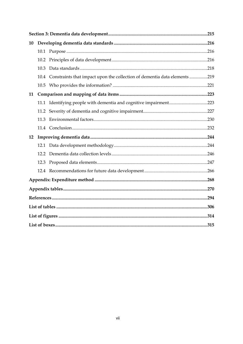| 10 |      |                                                                                |  |
|----|------|--------------------------------------------------------------------------------|--|
|    |      |                                                                                |  |
|    | 10.2 |                                                                                |  |
|    | 10.3 |                                                                                |  |
|    |      | 10.4 Constraints that impact upon the collection of dementia data elements 219 |  |
|    |      |                                                                                |  |
| 11 |      |                                                                                |  |
|    |      | 11.1 Identifying people with dementia and cognitive impairment223              |  |
|    | 11.2 |                                                                                |  |
|    | 11.3 |                                                                                |  |
|    |      |                                                                                |  |
| 12 |      |                                                                                |  |
|    | 12.1 |                                                                                |  |
|    | 12.2 |                                                                                |  |
|    | 12.3 |                                                                                |  |
|    |      |                                                                                |  |
|    |      |                                                                                |  |
|    |      |                                                                                |  |
|    |      |                                                                                |  |
|    |      |                                                                                |  |
|    |      |                                                                                |  |
|    |      |                                                                                |  |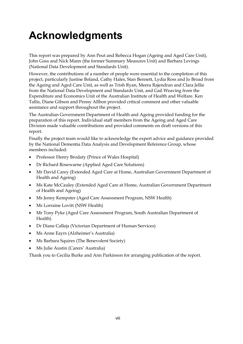# **Acknowledgments**

This report was prepared by Ann Peut and Rebecca Hogan (Ageing and Aged Care Unit), John Goss and Nick Mann (the former Summary Measures Unit) and Barbara Levings (National Data Development and Standards Unit).

However, the contributions of a number of people were essential to the completion of this project, particularly Justine Boland, Cathy Hales, Stan Bennett, Lydia Ross and Jo Broad from the Ageing and Aged Care Unit, as well as Trish Ryan, Meera Rajendran and Clara Jellie from the National Data Development and Standards Unit, and Gail Weaving from the Expenditure and Economics Unit of the Australian Institute of Health and Welfare. Ken Tallis, Diane Gibson and Penny Allbon provided critical comment and other valuable assistance and support throughout the project.

The Australian Government Department of Health and Ageing provided funding for the preparation of this report. Individual staff members from the Ageing and Aged Care Division made valuable contributions and provided comments on draft versions of this report.

Finally the project team would like to acknowledge the expert advice and guidance provided by the National Dementia Data Analysis and Development Reference Group, whose members included:

- Professor Henry Brodaty (Prince of Wales Hospital)
- Dr Richard Rosewarne (Applied Aged Care Solutions)
- Mr David Carey (Extended Aged Care at Home, Australian Government Department of Health and Ageing)
- Ms Kate McCauley (Extended Aged Care at Home, Australian Government Department of Health and Ageing)
- Ms Jenny Kempster (Aged Care Assessment Program, NSW Health)
- Ms Lorraine Lovitt (NSW Health)
- Mr Tony Pyke (Aged Care Assessment Program, South Australian Department of Health)
- Dr Diane Calleja (Victorian Department of Human Services)
- Ms Anne Eayrs (Alzheimer's Australia)
- Ms Barbara Squires (The Benevolent Society)
- Ms Julie Austin (Carers' Australia)

Thank you to Cecilia Burke and Ann Parkinson for arranging publication of the report.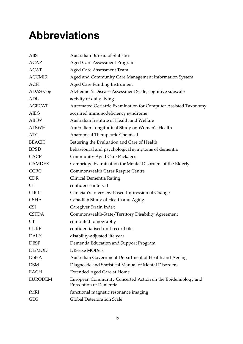## **Abbreviations**

| <b>ABS</b>     | <b>Australian Bureau of Statistics</b>                                                |  |  |
|----------------|---------------------------------------------------------------------------------------|--|--|
| <b>ACAP</b>    | <b>Aged Care Assessment Program</b>                                                   |  |  |
| <b>ACAT</b>    | <b>Aged Care Assessment Team</b>                                                      |  |  |
| <b>ACCMIS</b>  | Aged and Community Care Management Information System                                 |  |  |
| <b>ACFI</b>    | <b>Aged Care Funding Instrument</b>                                                   |  |  |
| ADAS-Cog       | Alzheimer's Disease Assessment Scale, cognitive subscale                              |  |  |
| <b>ADL</b>     | activity of daily living                                                              |  |  |
| <b>AGECAT</b>  | Automated Geriatric Examination for Computer Assisted Taxonomy                        |  |  |
| <b>AIDS</b>    | acquired immunodeficiency syndrome                                                    |  |  |
| AIHW           | Australian Institute of Health and Welfare                                            |  |  |
| ALSWH          | Australian Longitudinal Study on Women's Health                                       |  |  |
| <b>ATC</b>     | Anatomical Therapeutic Chemical                                                       |  |  |
| <b>BEACH</b>   | Bettering the Evaluation and Care of Health                                           |  |  |
| <b>BPSD</b>    | behavioural and psychological symptoms of dementia                                    |  |  |
| <b>CACP</b>    | <b>Community Aged Care Packages</b>                                                   |  |  |
| <b>CAMDEX</b>  | Cambridge Examination for Mental Disorders of the Elderly                             |  |  |
| <b>CCRC</b>    | Commonwealth Carer Respite Centre                                                     |  |  |
| CDR            | Clinical Dementia Rating                                                              |  |  |
| <b>CI</b>      | confidence interval                                                                   |  |  |
| <b>CIBIC</b>   | Clinician's Interview-Based Impression of Change                                      |  |  |
| <b>CSHA</b>    | Canadian Study of Health and Aging                                                    |  |  |
| <b>CSI</b>     | Caregiver Strain Index                                                                |  |  |
| <b>CSTDA</b>   | Commonwealth-State/Territory Disability Agreement                                     |  |  |
| <b>CT</b>      | computed tomography                                                                   |  |  |
| <b>CURF</b>    | confidentialised unit record file                                                     |  |  |
| <b>DALY</b>    | disability-adjusted life year                                                         |  |  |
| <b>DESP</b>    | Dementia Education and Support Program                                                |  |  |
| <b>DISMOD</b>  | DISease MODels                                                                        |  |  |
| <b>DoHA</b>    | Australian Government Department of Health and Ageing                                 |  |  |
| <b>DSM</b>     | Diagnostic and Statistical Manual of Mental Disorders                                 |  |  |
| <b>EACH</b>    | <b>Extended Aged Care at Home</b>                                                     |  |  |
| <b>EURODEM</b> | European Community Concerted Action on the Epidemiology and<br>Prevention of Dementia |  |  |
| fMRI           | functional magnetic resonance imaging                                                 |  |  |
| <b>GDS</b>     | Global Deterioration Scale                                                            |  |  |
|                |                                                                                       |  |  |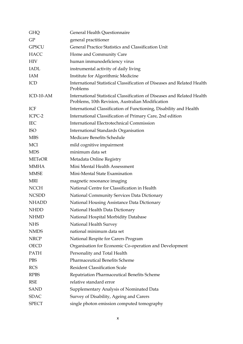| General Health Questionnaire<br><b>GHQ</b> |                                                                                                                             |  |
|--------------------------------------------|-----------------------------------------------------------------------------------------------------------------------------|--|
| GP                                         | general practitioner                                                                                                        |  |
| <b>GPSCU</b>                               | General Practice Statistics and Classification Unit                                                                         |  |
| <b>HACC</b>                                | Home and Community Care                                                                                                     |  |
| <b>HIV</b>                                 | human immunodeficiency virus                                                                                                |  |
| <b>IADL</b>                                | instrumental activity of daily living                                                                                       |  |
| IAM                                        | Institute for Algorithmic Medicine                                                                                          |  |
| ICD                                        | International Statistical Classification of Diseases and Related Health<br>Problems                                         |  |
| ICD-10-AM                                  | International Statistical Classification of Diseases and Related Health<br>Problems, 10th Revision, Australian Modification |  |
| ICF                                        | International Classification of Functioning, Disability and Health                                                          |  |
| ICPC-2                                     | International Classification of Primary Care, 2nd edition                                                                   |  |
| <b>IEC</b>                                 | <b>International Electrotechnical Commission</b>                                                                            |  |
| <b>ISO</b>                                 | <b>International Standards Organisation</b>                                                                                 |  |
| <b>MBS</b>                                 | Medicare Benefits Schedule                                                                                                  |  |
| <b>MCI</b>                                 | mild cognitive impairment                                                                                                   |  |
| <b>MDS</b>                                 | minimum data set                                                                                                            |  |
| <b>METeOR</b>                              | Metadata Online Registry                                                                                                    |  |
| <b>MMHA</b>                                | Mini Mental Health Assessment                                                                                               |  |
| <b>MMSE</b>                                | Mini-Mental State Examination                                                                                               |  |
| MRI                                        | magnetic resonance imaging                                                                                                  |  |
| <b>NCCH</b>                                | National Centre for Classification in Health                                                                                |  |
| <b>NCSDD</b>                               | National Community Services Data Dictionary                                                                                 |  |
| <b>NHADD</b>                               | National Housing Assistance Data Dictionary                                                                                 |  |
| <b>NHDD</b>                                | National Health Data Dictionary                                                                                             |  |
| <b>NHMD</b>                                | National Hospital Morbidity Database                                                                                        |  |
| <b>NHS</b>                                 | National Health Survey                                                                                                      |  |
| <b>NMDS</b>                                | national minimum data set                                                                                                   |  |
| <b>NRCP</b>                                | National Respite for Carers Program                                                                                         |  |
| <b>OECD</b>                                | Organisation for Economic Co-operation and Development                                                                      |  |
| <b>PATH</b>                                | Personality and Total Health                                                                                                |  |
| <b>PBS</b>                                 | <b>Pharmaceutical Benefits Scheme</b>                                                                                       |  |
| <b>RCS</b>                                 | <b>Resident Classification Scale</b>                                                                                        |  |
| <b>RPBS</b>                                | Repatriation Pharmaceutical Benefits Scheme                                                                                 |  |
| <b>RSE</b>                                 | relative standard error                                                                                                     |  |
| <b>SAND</b>                                | Supplementary Analysis of Nominated Data                                                                                    |  |
| <b>SDAC</b>                                | Survey of Disability, Ageing and Carers                                                                                     |  |
| <b>SPECT</b>                               | single photon emission computed tomography                                                                                  |  |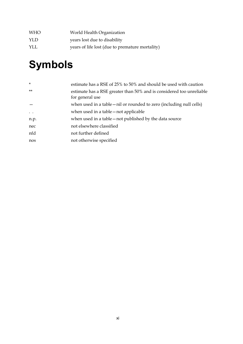| <b>WHO</b> | World Health Organization                       |
|------------|-------------------------------------------------|
| YLD.       | years lost due to disability                    |
| YLL.       | years of life lost (due to premature mortality) |

# **Symbols**

| $\star$   | estimate has a RSE of 25% to 50% and should be used with caution                        |
|-----------|-----------------------------------------------------------------------------------------|
| $***$     | estimate has a RSE greater than 50% and is considered too unreliable<br>for general use |
|           | when used in a table – nil or rounded to zero (including null cells)                    |
| $\ddotsc$ | when used in a table – not applicable                                                   |
| n.p.      | when used in a table – not published by the data source                                 |
| nec       | not elsewhere classified                                                                |
| nfd       | not further defined                                                                     |
| nos       | not otherwise specified                                                                 |
|           |                                                                                         |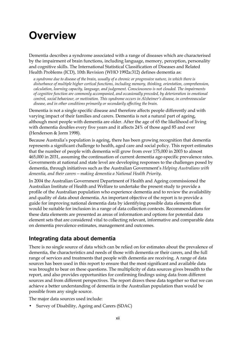## **Overview**

Dementia describes a syndrome associated with a range of diseases which are characterised by the impairment of brain functions, including language, memory, perception, personality and cognitive skills. The International Statistical Classification of Diseases and Related Health Problems (ICD), 10th Revision (WHO 1992a:312) defines dementia as:

*a syndrome due to disease of the brain, usually of a chronic or progressive nature, in which there is disturbance of multiple higher cortical functions, including memory, thinking, orientation, comprehension, calculation, learning capacity, language, and judgement. Consciousness is not clouded. The impairments of cognitive function are commonly accompanied, and occasionally preceded, by deterioration in emotional control, social behaviour, or motivation. This syndrome occurs in Alzheimer's disease, in cerebrovascular disease, and in other conditions primarily or secondarily affecting the brain.* 

Dementia is not a single specific disease and therefore affects people differently and with varying impact of their families and carers. Dementia is not a natural part of ageing, although most people with dementia are older. After the age of 65 the likelihood of living with dementia doubles every five years and it affects 24% of those aged 85 and over (Henderson & Jorm 1998).

Because Australia's population is ageing, there has been growing recognition that dementia represents a significant challenge to health, aged care and social policy. This report estimates that the number of people with dementia will grow from over 175,000 in 2003 to almost 465,000 in 2031, assuming the continuation of current dementia age-specific prevalence rates. Governments at national and state level are developing responses to the challenges posed by dementia, through initiatives such as the Australian Government's *Helping Australians with dementia, and their carers—making dementia a National Health Priority*.

In 2004 the Australian Government Department of Health and Ageing commissioned the Australian Institute of Health and Welfare to undertake the present study to provide a profile of the Australian population who experience dementia and to review the availability and quality of data about dementia. An important objective of the report is to provide a guide for improving national dementia data by identifying possible data elements that would be suitable for inclusion in a range of data collection contexts. Recommendations for these data elements are presented as areas of information and options for potential data element sets that are considered vital to collecting relevant, informative and comparable data on dementia prevalence estimates, management and outcomes.

## **Integrating data about dementia**

There is no single source of data which can be relied on for estimates about the prevalence of dementia, the characteristics and needs of those with dementia or their carers, and the full range of services and treatments that people with dementia are receiving. A range of data sources has been used in this report to ensure that the most significant and available data was brought to bear on these questions. The multiplicity of data sources gives breadth to the report, and also provides opportunities for confirming findings using data from different sources and from different perspectives. The report draws these data together so that we can achieve a better understanding of dementia in the Australian population than would be possible from any single source.

The major data sources used include:

• Survey of Disability, Ageing and Carers (SDAC)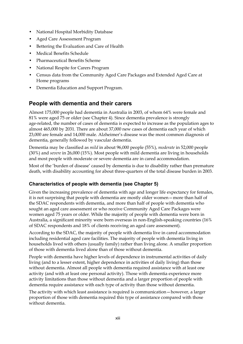- National Hospital Morbidity Database
- Aged Care Assessment Program
- Bettering the Evaluation and Care of Health
- Medical Benefits Schedule
- Pharmaceutical Benefits Scheme
- National Respite for Carers Program
- Census data from the Community Aged Care Packages and Extended Aged Care at Home programs
- Dementia Education and Support Program.

### **People with dementia and their carers**

Almost 175,000 people had dementia in Australia in 2003, of whom 64% were female and 81% were aged 75 or older (see Chapter 4). Since dementia prevalence is strongly age-related, the number of cases of dementia is expected to increase as the population ages to almost 465,000 by 2031. There are about 37,000 new cases of dementia each year of which 23,000 are female and 14,000 male. Alzheimer's disease was the most common diagnosis of dementia, generally followed by vascular dementia.

Dementia may be classified as *mild* in about 96,000 people (55%), *moderate* in 52,000 people (30%) and *severe* in 26,000 (15%). Most people with mild dementia are living in households and most people with moderate or severe dementia are in cared accommodation.

Most of the 'burden of disease' caused by dementia is due to disability rather than premature death, with disability accounting for about three-quarters of the total disease burden in 2003.

#### **Characteristics of people with dementia (see Chapter 5)**

Given the increasing prevalence of dementia with age and longer life expectancy for females, it is not surprising that people with dementia are mostly older women—more than half of the SDAC respondents with dementia, and more than half of people with dementia who sought an aged care assessment or who receive Community Aged Care Packages were women aged 75 years or older. While the majority of people with dementia were born in Australia, a significant minority were born overseas in non-English-speaking countries (16% of SDAC respondents and 18% of clients receiving an aged care assessment).

According to the SDAC, the majority of people with dementia live in cared accommodation including residential aged care facilities. The majority of people with dementia living in households lived with others (usually family) rather than living alone. A smaller proportion of those with dementia lived alone than of those without dementia.

People with dementia have higher levels of dependence in instrumental activities of daily living (and to a lesser extent, higher dependence in activities of daily living) than those without dementia. Almost all people with dementia required assistance with at least one activity (and with at least one personal activity). Those with dementia experience more activity limitations than those without dementia and a larger proportion of people with dementia require assistance with each type of activity than those without dementia.

The activity with which least assistance is required is communication—however, a larger proportion of those with dementia required this type of assistance compared with those without dementia.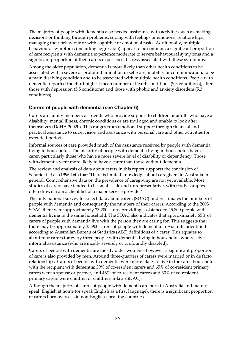The majority of people with dementia also needed assistance with activities such as making decisions or thinking through problems, coping with feelings or emotions, relationships, managing their behaviour or with cognitive or emotional tasks. Additionally, multiple behavioural symptoms (including aggression) appear to be common; a significant proportion of care recipients with dementia experience moderate to severe behavioural symptoms and a significant proportion of their carers experience distress associated with these symptoms.

Among the older population, dementia is more likely than other health conditions to be associated with a severe or profound limitation in self-care, mobility or communication, to be a main disabling condition and to be associated with multiple health conditions. People with dementia reported the third highest mean number of health conditions (5.3 conditions), after those with depression (5.5 conditions) and those with phobic and anxiety disorders (5.3 conditions).

#### **Carers of people with dementia (see Chapter 6)**

Carers are family members or friends who provide support to children or adults who have a disability, mental illness, chronic conditions or are frail aged and unable to look after themselves (DoHA 2002b). This ranges from emotional support through financial and practical assistance to supervision and assistance with personal care and other activities for extended periods.

Informal sources of care provided much of the assistance received by people with dementia living in households. The majority of people with dementia living in households have a carer, particularly those who have a more severe level of disability or dependency. Those with dementia were more likely to have a carer than those without dementia.

The review and analysis of data about carers in this report supports the conclusion of Schofield et al. (1996:160) that 'There is limited knowledge about caregivers in Australia in general. Comprehensive data on the prevalence of caregiving are not yet available. Most studies of carers have tended to be small scale and unrepresentative, with study samples often drawn from a client list of a major service provider'.

The only national survey to collect data about carers (SDAC) underestimates the numbers of people with dementia and consequently the numbers of their carers. According to the 2003 SDAC there were approximately 23,200 carers providing assistance to 25,800 people with dementia living in the same household. The SDAC also indicates that approximately 65% of carers of people with dementia live with the person they are caring for. This suggests that there may be approximately 35,900 carers of people with dementia in Australia identified according to Australian Bureau of Statistics (ABS) definitions of a carer. This equates to about four carers for every three people with dementia living in households who receive informal assistance (who are mostly severely or profoundly disabled).

Carers of people with dementia are mostly older women—however, a significant proportion of care is also provided by men. Around three-quarters of carers were married or in de facto relationships. Carers of people with dementia were more likely to live in the same household with the recipient with dementia: 39% of co-resident carers and 65% of co-resident primary carers were a spouse or partner, and 46% of co-resident carers and 30% of co-resident primary carers were children or children-in-law (SDAC).

Although the majority of carers of people with dementia are born in Australia and mainly speak English at home (or speak English as a first language), there is a significant proportion of carers born overseas in non-English-speaking countries.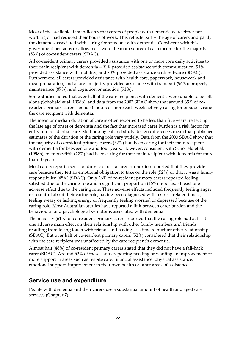Most of the available data indicates that carers of people with dementia were either not working or had reduced their hours of work. This reflects partly the age of carers and partly the demands associated with caring for someone with dementia. Consistent with this, government pensions or allowances were the main source of cash income for the majority (53%) of co-resident carers (SDAC).

All co-resident primary carers provided assistance with one or more core daily activities to their main recipient with dementia—91% provided assistance with communication, 91% provided assistance with mobility, and 78% provided assistance with self-care (SDAC). Furthermore, all carers provided assistance with health care, paperwork, housework and meal preparation; and a large majority provided assistance with transport (96%); property maintenance (87%); and cognition or emotion (91%).

Some studies noted that over half of the care recipients with dementia were unable to be left alone (Schofield et al. 1998b), and data from the 2003 SDAC show that around 65% of coresident primary carers spend 40 hours or more each week actively caring for or supervising the care recipient with dementia.

The mean or median duration of care is often reported to be less than five years, reflecting the late age of onset of dementia and the fact that increased carer burden is a risk factor for entry into residential care. Methodological and study design differences mean that published estimates of the duration of the caring role vary widely. Data from the 2003 SDAC show that the majority of co-resident primary carers (52%) had been caring for their main recipient with dementia for between one and four years. However, consistent with Schofield et al. (1998b), over one-fifth (22%) had been caring for their main recipient with dementia for more than 10 years.

Most carers report a sense of duty to care—a large proportion reported that they provide care because they felt an emotional obligation to take on the role (52%) or that it was a family responsibility (48%) (SDAC). Only 26% of co-resident primary carers reported feeling satisfied due to the caring role and a significant proportion (46%) reported at least one adverse effect due to the caring role. These adverse effects included frequently feeling angry or resentful about their caring role, having been diagnosed with a stress-related illness, feeling weary or lacking energy or frequently feeling worried or depressed because of the caring role. Most Australian studies have reported a link between carer burden and the behavioural and psychological symptoms associated with dementia.

The majority (61%) of co-resident primary carers reported that the caring role had at least one adverse main effect on their relationship with other family members and friends resulting from losing touch with friends and having less time to nurture other relationships (SDAC). But over half of co-resident primary carers (52%) considered that their relationship with the care recipient was unaffected by the care recipient's dementia.

Almost half (48%) of co-resident primary carers stated that they did not have a fall-back carer (SDAC). Around 52% of these carers reporting needing or wanting an improvement or more support in areas such as respite care, financial assistance, physical assistance, emotional support, improvement in their own health or other areas of assistance.

### **Service use and expenditure**

People with dementia and their carers use a substantial amount of health and aged care services (Chapter 7).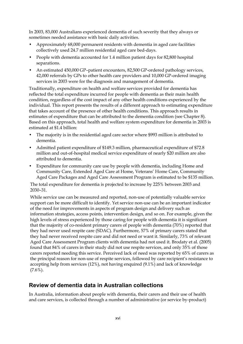In 2003, 83,000 Australians experienced dementia of such severity that they always or sometimes needed assistance with basic daily activities.

- Approximately 68,000 permanent residents with dementia in aged care facilities collectively used 24.7 million residential aged care bed-days.
- People with dementia accounted for 1.4 million patient days for 82,800 hospital separations.
- An estimated 450,000 GP–patient encounters, 82,500 GP-ordered pathology services, 42,000 referrals by GPs to other health care providers and 10,000 GP-ordered imaging services in 2003 were for the diagnosis and management of dementia.

Traditionally, expenditure on health and welfare services provided for dementia has reflected the total expenditure incurred for people with dementia as their main health condition, regardless of the cost impact of any other health conditions experienced by the individual. This report presents the results of a different approach to estimating expenditure that takes account of the presence of other health conditions. This approach results in estimates of expenditure that can be attributed to the dementia condition (see Chapter 8). Based on this approach, total health and welfare system expenditure for dementia in 2003 is estimated at \$1.4 billion:

- The majority is in the residential aged care sector where \$993 million is attributed to dementia.
- Admitted patient expenditure of \$149.3 million, pharmaceutical expenditure of \$72.8 million and out-of-hospital medical service expenditure of nearly \$20 million are also attributed to dementia.
- Expenditure for community care use by people with dementia, including Home and Community Care, Extended Aged Care at Home, Veterans' Home Care, Community Aged Care Packages and Aged Care Assessment Program is estimated to be \$135 million.

The total expenditure for dementia is projected to increase by 225% between 2003 and 2030–31.

While service use can be measured and reported, non-use of potentially valuable service support can be more difficult to identify. Yet service non-use can be an important indicator of the need for improvements in aspects of program design and delivery such as information strategies, access points, intervention design, and so on. For example, given the high levels of stress experienced by those caring for people with dementia it is significant that the majority of co-resident primary carers of people with dementia (70%) reported that they had never used respite care (SDAC). Furthermore, 57% of primary carers stated that they had never received respite care and did not need or want it. Similarly, 73% of relevant Aged Care Assessment Program clients with dementia had not used it. Brodaty et al. (2005) found that 84% of carers in their study did not use respite services, and only 35% of those carers reported needing this service. Perceived lack of need was reported by 65% of carers as the principal reason for non-use of respite services, followed by care recipient's resistance to accepting help from services (12%), not having enquired (9.1%) and lack of knowledge  $(7.6\%)$ .

## **Review of dementia data in Australian collections**

In Australia, information about people with dementia, their carers and their use of health and care services, is collected through a number of administrative (or service by-product)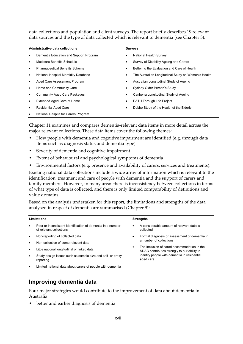data collections and population and client surveys. The report briefly describes 19 relevant data sources and the type of data collected which is relevant to dementia (see Chapter 3):

| Administrative data collections |                                        |   | <b>Surveys</b>                                      |  |  |
|---------------------------------|----------------------------------------|---|-----------------------------------------------------|--|--|
| $\bullet$                       | Dementia Education and Support Program | ٠ | <b>National Health Survey</b>                       |  |  |
| $\bullet$                       | Medicare Benefits Schedule             |   | Survey of Disability Ageing and Carers              |  |  |
| $\bullet$                       | <b>Pharmaceutical Benefits Scheme</b>  | ٠ | Bettering the Evaluation and Care of Health         |  |  |
| $\bullet$                       | National Hospital Morbidity Database   |   | The Australian Longitudinal Study on Women's Health |  |  |
| $\bullet$                       | Aged Care Assessment Program           |   | Australian Longitudinal Study of Ageing             |  |  |
| $\bullet$                       | Home and Community Care                |   | Sydney Older Person's Study                         |  |  |
| $\bullet$                       | <b>Community Aged Care Packages</b>    |   | Canberra Longitudinal Study of Ageing               |  |  |
| $\bullet$                       | Extended Aged Care at Home             | ٠ | <b>PATH Through Life Project</b>                    |  |  |
| $\bullet$                       | <b>Residential Aged Care</b>           |   | Dubbo Study of the Health of the Elderly            |  |  |
| $\bullet$                       | National Respite for Carers Program    |   |                                                     |  |  |

Chapter 11 examines and compares dementia-relevant data items in more detail across the major relevant collections. These data items cover the following themes:

- How people with dementia and cognitive impairment are identified (e.g. through data items such as diagnosis status and dementia type)
- Severity of dementia and cognitive impairment
- Extent of behavioural and psychological symptoms of dementia
- Environmental factors (e.g. presence and availability of carers, services and treatments).

Existing national data collections include a wide array of information which is relevant to the identification, treatment and care of people with dementia and the support of carers and family members. However, in many areas there is inconsistency between collections in terms of what type of data is collected, and there is only limited comparability of definitions and value domains.

Based on the analysis undertaken for this report, the limitations and strengths of the data analysed in respect of dementia are summarised (Chapter 9):

| Limitations |                                                                                        |           | <b>Strengths</b>                                                                           |  |
|-------------|----------------------------------------------------------------------------------------|-----------|--------------------------------------------------------------------------------------------|--|
| $\bullet$   | Poor or inconsistent identification of dementia in a number<br>of relevant collections |           | A considerable amount of relevant data is<br>collected                                     |  |
| $\bullet$   | Non-reporting of collected data                                                        | $\bullet$ | Formal diagnosis or assessment of dementia in                                              |  |
| $\bullet$   | Non-collection of some relevant data                                                   |           | a number of collections                                                                    |  |
| $\bullet$   | Little national longitudinal or linked data                                            | $\bullet$ | The inclusion of cared accommodation in the<br>SDAC contributes strongly to our ability to |  |
| $\bullet$   | Study design issues such as sample size and self- or proxy-<br>reporting               |           | identify people with dementia in residential<br>aged care                                  |  |
| $\bullet$   | Limited national data about carers of people with dementia                             |           |                                                                                            |  |

### **Improving dementia data**

Four major strategies would contribute to the improvement of data about dementia in Australia:

better and earlier diagnosis of dementia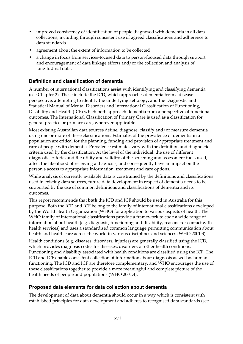- improved consistency of identification of people diagnosed with dementia in all data collections, including through consistent use of agreed classifications and adherence to data standards
- agreement about the extent of information to be collected
- a change in focus from services-focused data to person-focused data through support and encouragement of data linkage efforts and/or the collection and analysis of longitudinal data.

#### **Definition and classification of dementia**

A number of international classifications assist with identifying and classifying dementia (see Chapter 2). These include the ICD, which approaches dementia from a disease perspective, attempting to identify the underlying aetiology; and the Diagnostic and Statistical Manual of Mental Disorders and International Classification of Functioning, Disability and Health (ICF) which both approach dementia from a perspective of functional outcomes. The International Classification of Primary Care is used as a classification for general practice or primary care, wherever applicable.

Most existing Australian data sources define, diagnose, classify and/or measure dementia using one or more of these classifications. Estimates of the prevalence of dementia in a population are critical for the planning, funding and provision of appropriate treatment and care of people with dementia. Prevalence estimates vary with the definition and diagnostic criteria used by the classification. At the level of the individual, the use of different diagnostic criteria, and the utility and validity of the screening and assessment tools used, affect the likelihood of receiving a diagnosis, and consequently have an impact on the person's access to appropriate information, treatment and care options.

While analysis of currently available data is constrained by the definitions and classifications used in existing data sources, future data development in respect of dementia needs to be supported by the use of common definitions and classifications of dementia and its outcomes.

This report recommends that **both** the ICD and ICF should be used in Australia for this purpose. Both the ICD and ICF belong to the family of international classifications developed by the World Health Organization (WHO) for application to various aspects of health. The WHO family of international classifications provide a framework to code a wide range of information about health (e.g. diagnosis, functioning and disability, reasons for contact with health services) and uses a standardised common language permitting communication about health and health care across the world in various disciplines and sciences (WHO 2001:3).

Health conditions (e.g. diseases, disorders, injuries) are generally classified using the ICD, which provides diagnosis codes for diseases, disorders or other health conditions. Functioning and disability associated with health conditions are classified using the ICF. The ICD and ICF enable consistent collection of information about diagnosis as well as human functioning. The ICD and ICF are therefore complementary, and WHO encourages the use of these classifications together to provide a more meaningful and complete picture of the health needs of people and populations (WHO 2001:4).

#### **Proposed data elements for data collection about dementia**

The development of data about dementia should occur in a way which is consistent with established principles for data development and adheres to recognised data standards (see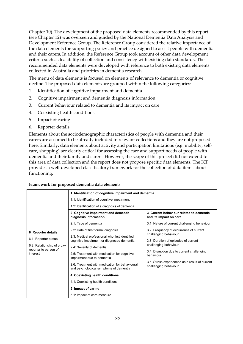Chapter 10). The development of the proposed data elements recommended by this report (see Chapter 12) was overseen and guided by the National Dementia Data Analysis and Development Reference Group. The Reference Group considered the relative importance of the data elements for supporting policy and practice designed to assist people with dementia and their carers. In addition, the Reference Group took account of other data development criteria such as feasibility of collection and consistency with existing data standards. The recommended data elements were developed with reference to both existing data elements collected in Australia and priorities in dementia research.

The menu of data elements is focused on elements of relevance to dementia or cognitive decline. The proposed data elements are grouped within the following categories:

- 1. Identification of cognitive impairment and dementia
- 2. Cognitive impairment and dementia diagnosis information
- 3. Current behaviour related to dementia and its impact on care
- 4. Coexisting health conditions
- 5. Impact of caring
- 6. Reporter details.

Elements about the sociodemographic characteristics of people with dementia and their carers are assumed to be already included in relevant collections and they are not proposed here. Similarly, data elements about activity and participation limitations (e.g. mobility, selfcare, shopping) are clearly critical for assessing the care and support needs of people with dementia and their family and carers. However, the scope of this project did not extend to this area of data collection and the report does not propose specific data elements. The ICF provides a well-developed classificatory framework for the collection of data items about functioning.

#### **Framework for proposed dementia data elements**

|                                                     | 1 Identification of cognitive impairment and dementia                                        |                                                                                                                                                                                              |  |  |  |
|-----------------------------------------------------|----------------------------------------------------------------------------------------------|----------------------------------------------------------------------------------------------------------------------------------------------------------------------------------------------|--|--|--|
|                                                     | 1.1: Identification of cognitive impairment                                                  |                                                                                                                                                                                              |  |  |  |
|                                                     | 1.2: Identification of a diagnosis of dementia                                               |                                                                                                                                                                                              |  |  |  |
|                                                     | 2 Cognitive impairment and dementia<br>diagnosis information                                 | 3 Current behaviour related to dementia<br>and its impact on care                                                                                                                            |  |  |  |
|                                                     | 2.1: Type of dementia                                                                        | 3.1: Nature of current challenging behaviour                                                                                                                                                 |  |  |  |
| 6 Reporter details                                  | 2.2: Date of first formal diagnosis                                                          | 3.2: Frequency of occurrence of current<br>challenging behaviour<br>3.3: Duration of episodes of current<br>challenging behaviour<br>3.4: Disruption due to current challenging<br>behaviour |  |  |  |
| 6.1: Reporter status                                | 2.3: Medical professional who first identified<br>cognitive impairment or diagnosed dementia |                                                                                                                                                                                              |  |  |  |
| 6.2: Relationship of proxy<br>reporter to person of | 2.4: Severity of dementia                                                                    |                                                                                                                                                                                              |  |  |  |
| interest                                            | 2.5: Treatment with medication for cognitive<br>impairment due to dementia                   |                                                                                                                                                                                              |  |  |  |
|                                                     | 2.6: Treatment with medication for behavioural<br>and psychological symptoms of dementia     | 3.5: Stress experienced as a result of current<br>challenging behaviour                                                                                                                      |  |  |  |
|                                                     | 4 Coexisting health conditions                                                               |                                                                                                                                                                                              |  |  |  |
|                                                     | 4.1: Coexisting health conditions                                                            |                                                                                                                                                                                              |  |  |  |
|                                                     | 5 Impact of caring                                                                           |                                                                                                                                                                                              |  |  |  |
|                                                     | 5.1: Impact of care measure                                                                  |                                                                                                                                                                                              |  |  |  |